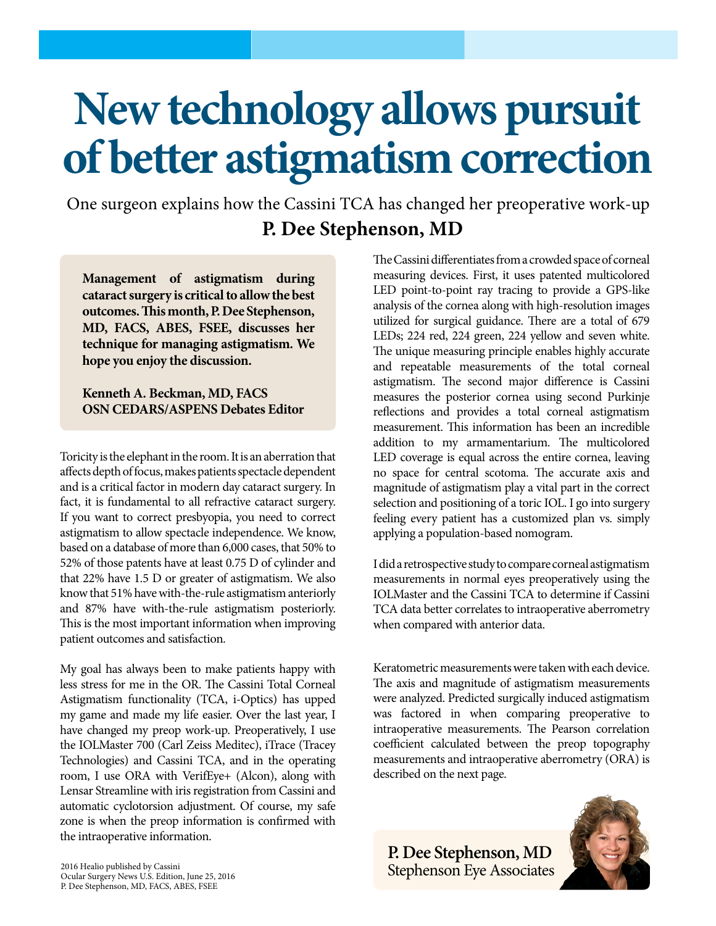## **New technology allows pursuit of better astigmatism correction**

**P. Dee Stephenson, MD** One surgeon explains how the Cassini TCA has changed her preoperative work-up

**Management of astigmatism during cataract surgery is critical to allow the best outcomes. This month, P. Dee Stephenson, MD, FACS, ABES, FSEE, discusses her technique for managing astigmatism. We hope you enjoy the discussion.**

## **Kenneth A. Beckman, MD, FACS OSN CEDARS/ASPENS Debates Editor**

Toricity is the elephant in the room. It is an aberration that affects depth of focus, makes patients spectacle dependent and is a critical factor in modern day cataract surgery. In fact, it is fundamental to all refractive cataract surgery. If you want to correct presbyopia, you need to correct astigmatism to allow spectacle independence. We know, based on a database of more than 6,000 cases, that 50% to 52% of those patents have at least 0.75 D of cylinder and that 22% have 1.5 D or greater of astigmatism. We also know that 51% have with-the-rule astigmatism anteriorly and 87% have with-the-rule astigmatism posteriorly. This is the most important information when improving patient outcomes and satisfaction.

My goal has always been to make patients happy with less stress for me in the OR. The Cassini Total Corneal Astigmatism functionality (TCA, i-Optics) has upped my game and made my life easier. Over the last year, I have changed my preop work-up. Preoperatively, I use the IOLMaster 700 (Carl Zeiss Meditec), iTrace (Tracey Technologies) and Cassini TCA, and in the operating room, I use ORA with VerifEye+ (Alcon), along with Lensar Streamline with iris registration from Cassini and automatic cyclotorsion adjustment. Of course, my safe zone is when the preop information is confirmed with the intraoperative information.

The Cassini differentiates from a crowded space of corneal measuring devices. First, it uses patented multicolored LED point-to-point ray tracing to provide a GPS-like analysis of the cornea along with high-resolution images utilized for surgical guidance. There are a total of 679 LEDs; 224 red, 224 green, 224 yellow and seven white. The unique measuring principle enables highly accurate and repeatable measurements of the total corneal astigmatism. The second major difference is Cassini measures the posterior cornea using second Purkinje reflections and provides a total corneal astigmatism measurement. This information has been an incredible addition to my armamentarium. The multicolored LED coverage is equal across the entire cornea, leaving no space for central scotoma. The accurate axis and magnitude of astigmatism play a vital part in the correct selection and positioning of a toric IOL. I go into surgery feeling every patient has a customized plan vs. simply applying a population-based nomogram.

I did a retrospective study to compare corneal astigmatism measurements in normal eyes preoperatively using the IOLMaster and the Cassini TCA to determine if Cassini TCA data better correlates to intraoperative aberrometry when compared with anterior data.

Keratometric measurements were taken with each device. The axis and magnitude of astigmatism measurements were analyzed. Predicted surgically induced astigmatism was factored in when comparing preoperative to intraoperative measurements. The Pearson correlation coefficient calculated between the preop topography measurements and intraoperative aberrometry (ORA) is described on the next page.

**P. Dee Stephenson, MD** Stephenson Eye Associates